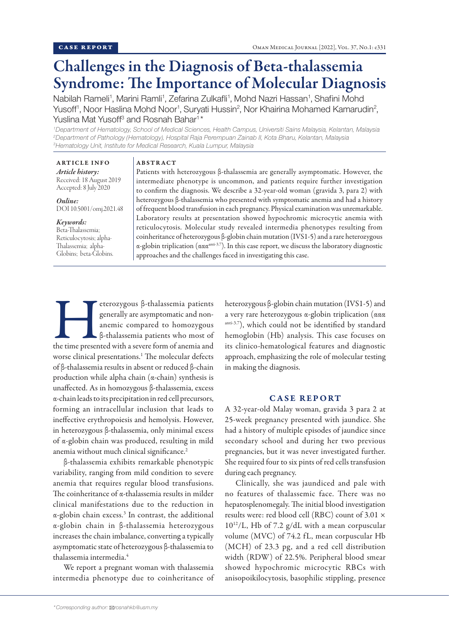# Challenges in the Diagnosis of Beta-thalassemia Syndrome: The Importance of Molecular Diagnosis

Nabilah Rameli<sup>1</sup>, Marini Ramli<sup>1</sup>, Zefarina Zulkafli<sup>1</sup>, Mohd Nazri Hassan<sup>1</sup>, Shafini Mohd Yusoff<sup>1</sup>, Noor Haslina Mohd Noor<sup>1</sup>, Suryati Hussin<sup>2</sup>, Nor Khairina Mohamed Kamarudin<sup>2</sup>, Yuslina Mat Yusoff<sup>3</sup> and Rosnah Bahar<sup>1\*</sup>

*1 Department of Hematology, School of Medical Sciences, Health Campus, Universiti Sains Malaysia, Kelantan, Malaysia 2 Department of Pathology (Hematology), Hospital Raja Perempuan Zainab II, Kota Bharu, Kelantan, Malaysia 3 Hematology Unit, Institute for Medical Research, Kuala Lumpur, Malaysia*

ARTICLE INFO *Article history:* Received: 18 August 2019 Accepted: 8 July 2020

*Online:* DOI 10.5001/omj.2021.48

### *Keywords:*

Beta-Thalassemia; Reticulocytosis; alpha-Thalassemia; alpha-Globins; beta-Globins.

## ABSTRACT

Patients with heterozygous β-thalassemia are generally asymptomatic. However, the intermediate phenotype is uncommon, and patients require further investigation to confirm the diagnosis. We describe a 32-year-old woman (gravida 3, para 2) with heterozygous β-thalassemia who presented with symptomatic anemia and had a history of frequent blood transfusion in each pregnancy. Physical examination was unremarkable. Laboratory results at presentation showed hypochromic microcytic anemia with reticulocytosis. Molecular study revealed intermedia phenotypes resulting from coinheritance of heterozygous β-globin chain mutation (IVS1-5) and a rare heterozygous α-globin triplication (αααanti-3.7). In this case report, we discuss the laboratory diagnostic approaches and the challenges faced in investigating this case.

**Example 12** eterozygous β-thalassemia patients generally are asymptomatic and non-<br>anemic compared to homozygous β-thalassemia patients who most of<br>the time presented with a severe form of anemia and generally are asymptomatic and nonanemic compared to homozygous β-thalassemia patients who most of worse clinical presentations.<sup>1</sup> The molecular defects of β-thalassemia results in absent or reduced β-chain production while alpha chain (α-chain) synthesis is unaffected. As in homozygous β-thalassemia, excess α-chain leads to its precipitation in red cell precursors, forming an intracellular inclusion that leads to ineffective erythropoiesis and hemolysis. However, in heterozygous β-thalassemia, only minimal excess of α-globin chain was produced, resulting in mild anemia without much clinical significance.<sup>2</sup>

β-thalassemia exhibits remarkable phenotypic variability, ranging from mild condition to severe anemia that requires regular blood transfusions. The coinheritance of α-thalassemia results in milder clinical manifestations due to the reduction in α-globin chain excess.3 In contrast, the additional α-globin chain in β-thalassemia heterozygous increases the chain imbalance, converting a typically asymptomatic state of heterozygous β-thalassemia to thalassemia intermedia.4

We report a pregnant woman with thalassemia intermedia phenotype due to coinheritance of heterozygous β-globin chain mutation (IVS1-5) and a very rare heterozygous α-globin triplication (ααα anti-3.7), which could not be identified by standard hemoglobin (Hb) analysis. This case focuses on its clinico-hematological features and diagnostic approach, emphasizing the role of molecular testing in making the diagnosis.

## CASE REPORT

A 32-year-old Malay woman, gravida 3 para 2 at 25-week pregnancy presented with jaundice. She had a history of multiple episodes of jaundice since secondary school and during her two previous pregnancies, but it was never investigated further. She required four to six pints of red cells transfusion during each pregnancy.

Clinically, she was jaundiced and pale with no features of thalassemic face. There was no hepatosplenomegaly. The initial blood investigation results were: red blood cell (RBC) count of 3.01 × 1012/L, Hb of 7.2 g/dL with a mean corpuscular volume (MVC) of 74.2 fL, mean corpuscular Hb (MCH) of 23.3 pg, and a red cell distribution width (RDW) of 22.5%. Peripheral blood smear showed hypochromic microcytic RBCs with anisopoikilocytosis, basophilic stippling, presence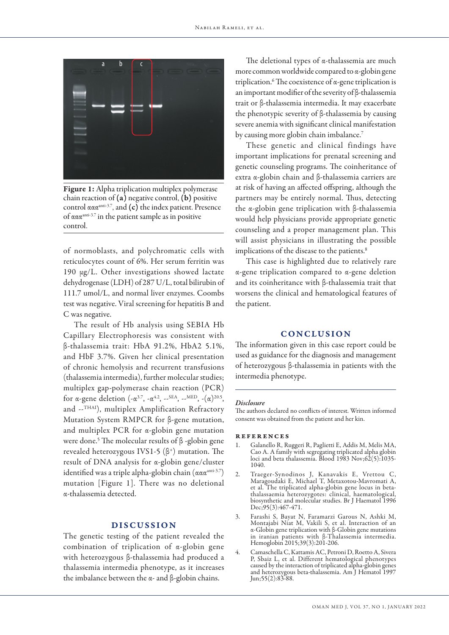

Figure 1: Alpha triplication multiplex polymerase chain reaction of (a) negative control, (b) positive control  $\alpha \alpha \alpha^{\text{anti-3.7}}$ , and (c) the index patient. Presence of ααα<sup>anti-3.7</sup> in the patient sample as in positive control.

of normoblasts, and polychromatic cells with reticulocytes count of 6%. Her serum ferritin was 190 μg/L. Other investigations showed lactate dehydrogenase (LDH) of 287 U/L, total bilirubin of 111.7 umol/L, and normal liver enzymes. Coombs test was negative. Viral screening for hepatitis B and C was negative.

The result of Hb analysis using SEBIA Hb Capillary Electrophoresis was consistent with β-thalassemia trait: HbA 91.2%, HbA2 5.1%, and HbF 3.7%. Given her clinical presentation of chronic hemolysis and recurrent transfusions (thalassemia intermedia), further molecular studies; multiplex gap-polymerase chain reaction (PCR) for  $\alpha$ -gene deletion  $(-\alpha^{3.7}, -\alpha^{4.2}, -{}^{\text{SEA}}, -{}^{\text{MED}}, -(\alpha)^{20.5},$ and --THAI), multiplex Amplification Refractory Mutation System RMPCR for β-gene mutation, and multiplex PCR for α-globin gene mutation were done.<sup>5</sup> The molecular results of β -globin gene revealed heterozygous IVS1-5  $(\beta^+)$  mutation. The result of DNA analysis for α-globin gene/cluster identified was a triple alpha-globin chain  $(\alpha \alpha \alpha^{\text{anti-3.7}})$ mutation [Figure 1]. There was no deletional α-thalassemia detected.

# DISCUSSION

The genetic testing of the patient revealed the combination of triplication of α-globin gene with heterozygous β-thalassemia had produced a thalassemia intermedia phenotype, as it increases the imbalance between the α- and β-globin chains.

The deletional types of α-thalassemia are much more common worldwide compared to α-globin gene triplication.<sup>6</sup> The coexistence of  $\alpha$ -gene triplication is an important modifier of the severity of β-thalassemia trait or β-thalassemia intermedia. It may exacerbate the phenotypic severity of β-thalassemia by causing severe anemia with significant clinical manifestation by causing more globin chain imbalance.<sup>7</sup>

These genetic and clinical findings have important implications for prenatal screening and genetic counseling programs. The coinheritance of extra α-globin chain and β-thalassemia carriers are at risk of having an affected offspring, although the partners may be entirely normal. Thus, detecting the α-globin gene triplication with β-thalassemia would help physicians provide appropriate genetic counseling and a proper management plan. This will assist physicians in illustrating the possible implications of the disease to the patients.<sup>8</sup>

This case is highlighted due to relatively rare α-gene triplication compared to α-gene deletion and its coinheritance with β-thalassemia trait that worsens the clinical and hematological features of the patient.

# **CONCLUSION**

The information given in this case report could be used as guidance for the diagnosis and management of heterozygous β-thalassemia in patients with the intermedia phenotype.

## *Disclosure*

The authors declared no conflicts of interest. Written informed consent was obtained from the patient and her kin.

#### references

- 1. Galanello R, Ruggeri R, Paglietti E, Addis M, Melis MA, Cao A. A family with segregating triplicated alpha globin loci and beta thalassemia. Blood 1983 Nov;62(5):1035- 1040.
- 2. Traeger-Synodinos J, Kanavakis E, Vrettou C, Maragoudaki E, Michael T, Metaxotou-Mavromati A, et al. The triplicated alpha-globin gene locus in betathalassaemia heterozygotes: clinical, haematological, biosynthetic and molecular studies. Br J Haematol 1996 Dec;95(3):467-471.
- 3. Farashi S, Bayat N, Faramarzi Garous N, Ashki M, Montajabi Niat M, Vakili S, et al. Interaction of an α-Globin gene triplication with β-Globin gene mutations in iranian patients with β-Thalassemia intermedia. Hemoglobin 2015;39(3):201-206.
- 4. Camaschella C, Kattamis AC, Petroni D, Roetto A, Sivera P, Sbaiz L, et al. Different hematological phenotypes caused by the interaction of triplicated alpha-globin genes and heterozygous beta-thalassemia. Am J Hematol 1997 Jun;55(2):83-88.